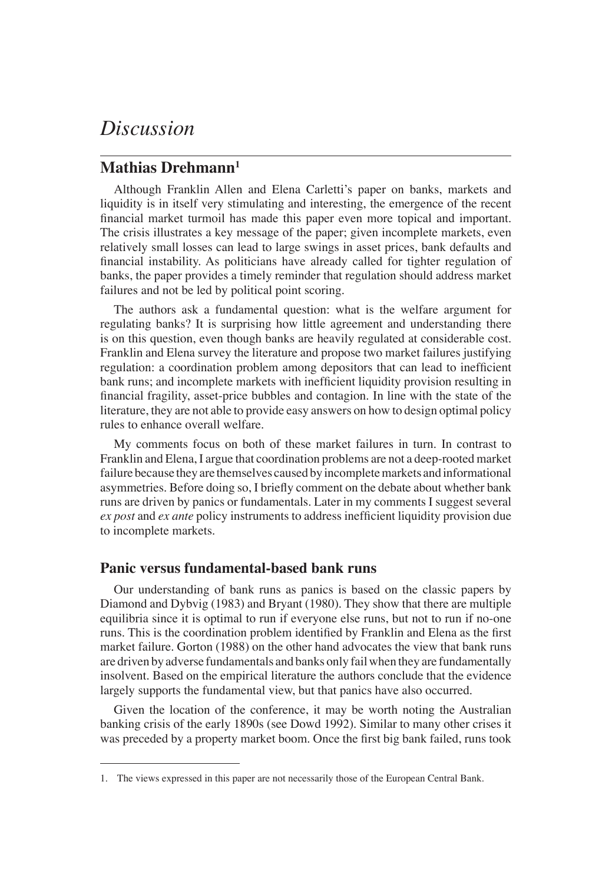# *Discussion*

# **Mathias Drehmann1**

Although Franklin Allen and Elena Carletti's paper on banks, markets and liquidity is in itself very stimulating and interesting, the emergence of the recent financial market turmoil has made this paper even more topical and important. The crisis illustrates a key message of the paper; given incomplete markets, even relatively small losses can lead to large swings in asset prices, bank defaults and financial instability. As politicians have already called for tighter regulation of banks, the paper provides a timely reminder that regulation should address market failures and not be led by political point scoring.

The authors ask a fundamental question: what is the welfare argument for regulating banks? It is surprising how little agreement and understanding there is on this question, even though banks are heavily regulated at considerable cost. Franklin and Elena survey the literature and propose two market failures justifying regulation: a coordination problem among depositors that can lead to inefficient bank runs; and incomplete markets with inefficient liquidity provision resulting in financial fragility, asset-price bubbles and contagion. In line with the state of the literature, they are not able to provide easy answers on how to design optimal policy rules to enhance overall welfare.

My comments focus on both of these market failures in turn. In contrast to Franklin and Elena, I argue that coordination problems are not a deep-rooted market failure because they are themselves caused by incomplete markets and informational asymmetries. Before doing so, I briefly comment on the debate about whether bank runs are driven by panics or fundamentals. Later in my comments I suggest several *ex post* and *ex ante* policy instruments to address inefficient liquidity provision due to incomplete markets.

#### **Panic versus fundamental-based bank runs**

Our understanding of bank runs as panics is based on the classic papers by Diamond and Dybvig (1983) and Bryant (1980). They show that there are multiple equilibria since it is optimal to run if everyone else runs, but not to run if no-one runs. This is the coordination problem identified by Franklin and Elena as the first market failure. Gorton (1988) on the other hand advocates the view that bank runs are driven by adverse fundamentals and banks only fail when they are fundamentally insolvent. Based on the empirical literature the authors conclude that the evidence largely supports the fundamental view, but that panics have also occurred.

Given the location of the conference, it may be worth noting the Australian banking crisis of the early 1890s (see Dowd 1992). Similar to many other crises it was preceded by a property market boom. Once the first big bank failed, runs took

<sup>1.</sup> The views expressed in this paper are not necessarily those of the European Central Bank.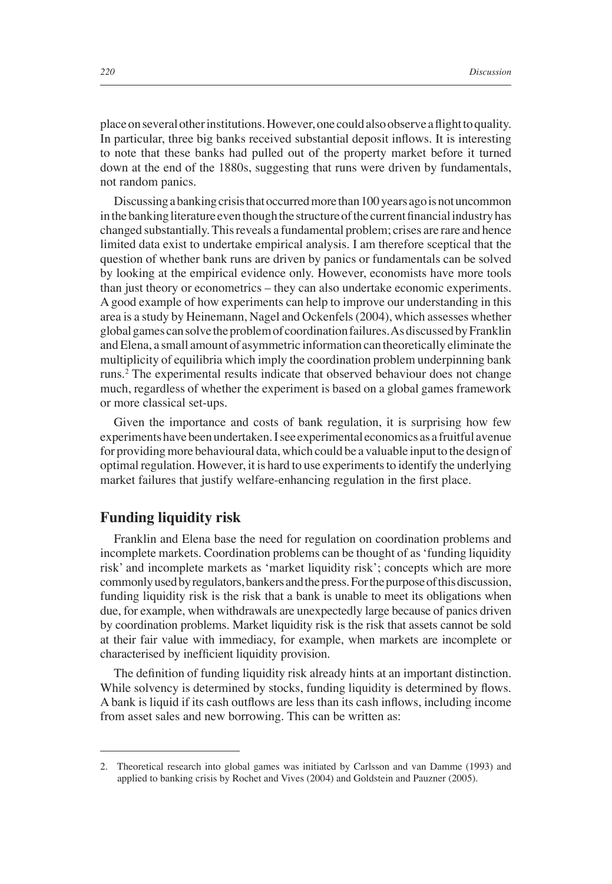place on several other institutions. However, one could also observe a flight to quality. In particular, three big banks received substantial deposit inflows. It is interesting to note that these banks had pulled out of the property market before it turned down at the end of the 1880s, suggesting that runs were driven by fundamentals, not random panics.

Discussing a banking crisis that occurred more than 100 years ago is not uncommon in the banking literature even though the structure of the current financial industry has changed substantially. This reveals a fundamental problem; crises are rare and hence limited data exist to undertake empirical analysis. I am therefore sceptical that the question of whether bank runs are driven by panics or fundamentals can be solved by looking at the empirical evidence only. However, economists have more tools than just theory or econometrics – they can also undertake economic experiments. A good example of how experiments can help to improve our understanding in this area is a study by Heinemann, Nagel and Ockenfels (2004), which assesses whether global games can solve the problem of coordination failures. As discussed by Franklin and Elena, a small amount of asymmetric information can theoretically eliminate the multiplicity of equilibria which imply the coordination problem underpinning bank runs.2 The experimental results indicate that observed behaviour does not change much, regardless of whether the experiment is based on a global games framework or more classical set-ups.

Given the importance and costs of bank regulation, it is surprising how few experiments have been undertaken. I see experimental economics as a fruitful avenue for providing more behavioural data, which could be a valuable input to the design of optimal regulation. However, it is hard to use experiments to identify the underlying market failures that justify welfare-enhancing regulation in the first place.

#### **Funding liquidity risk**

Franklin and Elena base the need for regulation on coordination problems and incomplete markets. Coordination problems can be thought of as 'funding liquidity risk' and incomplete markets as 'market liquidity risk'; concepts which are more commonly used by regulators, bankers and the press. For the purpose of this discussion, funding liquidity risk is the risk that a bank is unable to meet its obligations when due, for example, when withdrawals are unexpectedly large because of panics driven by coordination problems. Market liquidity risk is the risk that assets cannot be sold at their fair value with immediacy, for example, when markets are incomplete or characterised by inefficient liquidity provision.

The definition of funding liquidity risk already hints at an important distinction. While solvency is determined by stocks, funding liquidity is determined by flows. A bank is liquid if its cash outflows are less than its cash inflows, including income from asset sales and new borrowing. This can be written as:

<sup>2.</sup> Theoretical research into global games was initiated by Carlsson and van Damme (1993) and applied to banking crisis by Rochet and Vives (2004) and Goldstein and Pauzner (2005).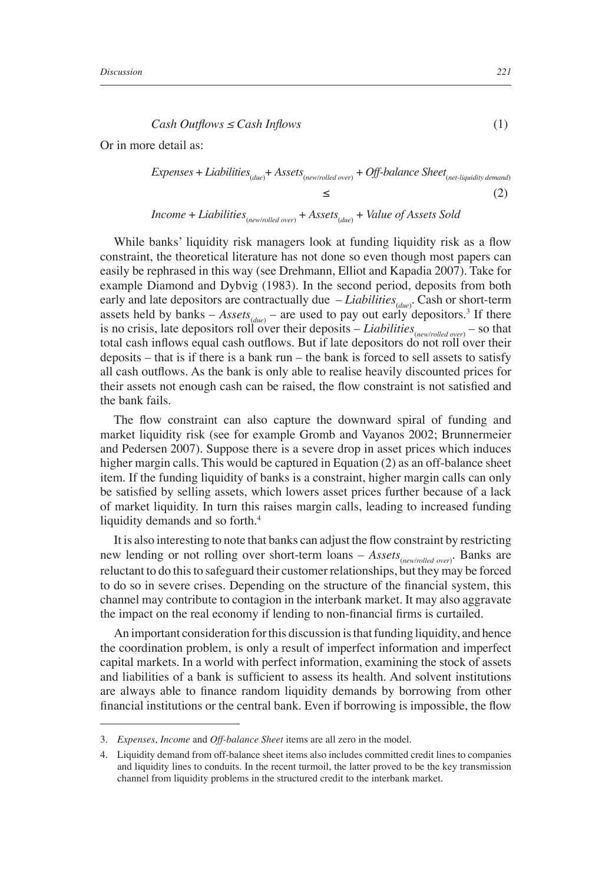$$
Cash Outflows \le Cash Inflows
$$
\n<sup>(1)</sup>

Or in more detail as:

*Express* + *Liabilities*<sub>(due)</sub> + *Assets*<sub>(new/rolled over)</sub> + *Off*-*balance Sheet*<sub>(net-liquidity demand)</sub> ≤ 
$$
(2)
$$

*Income* + *Liabilities*(*new/rolled over*) + *Assets*(*due*) + *Value of Assets Sold*

While banks' liquidity risk managers look at funding liquidity risk as a flow constraint, the theoretical literature has not done so even though most papers can easily be rephrased in this way (see Drehmann, Elliot and Kapadia 2007). Take for example Diamond and Dybvig (1983). In the second period, deposits from both early and late depositors are contractually due *- Liabilities*<sub>(*due*)</sub>. Cash or short-term assets held by banks  $-$  *Assets*<sub>(*due*)</sub>  $-$  are used to pay out early depositors.<sup>3</sup> If there is no crisis, late depositors roll over their deposits – *Liabilities*<sub>(*new/rolled over*)</sub> – so that total cash inflows equal cash outflows. But if late depositors do not roll over their deposits – that is if there is a bank run – the bank is forced to sell assets to satisfy all cash outflows. As the bank is only able to realise heavily discounted prices for their assets not enough cash can be raised, the flow constraint is not satisfied and the bank fails.

The flow constraint can also capture the downward spiral of funding and market liquidity risk (see for example Gromb and Vayanos 2002; Brunnermeier and Pedersen 2007). Suppose there is a severe drop in asset prices which induces higher margin calls. This would be captured in Equation (2) as an off-balance sheet item. If the funding liquidity of banks is a constraint, higher margin calls can only be satisfied by selling assets, which lowers asset prices further because of a lack of market liquidity. In turn this raises margin calls, leading to increased funding liquidity demands and so forth.<sup>4</sup>

It is also interesting to note that banks can adjust the flow constraint by restricting new lending or not rolling over short-term loans – Assets<sub>(new/rolled over)</sub>. Banks are reluctant to do this to safeguard their customer relationships, but they may be forced to do so in severe crises. Depending on the structure of the financial system, this channel may contribute to contagion in the interbank market. It may also aggravate the impact on the real economy if lending to non-financial firms is curtailed.

An important consideration for this discussion is that funding liquidity, and hence the coordination problem, is only a result of imperfect information and imperfect capital markets. In a world with perfect information, examining the stock of assets and liabilities of a bank is sufficient to assess its health. And solvent institutions are always able to finance random liquidity demands by borrowing from other financial institutions or the central bank. Even if borrowing is impossible, the flow

<sup>3.</sup> *Expenses*, *Income* and *Off-balance Sheet* items are all zero in the model.

<sup>4.</sup> Liquidity demand from off-balance sheet items also includes committed credit lines to companies and liquidity lines to conduits. In the recent turmoil, the latter proved to be the key transmission channel from liquidity problems in the structured credit to the interbank market.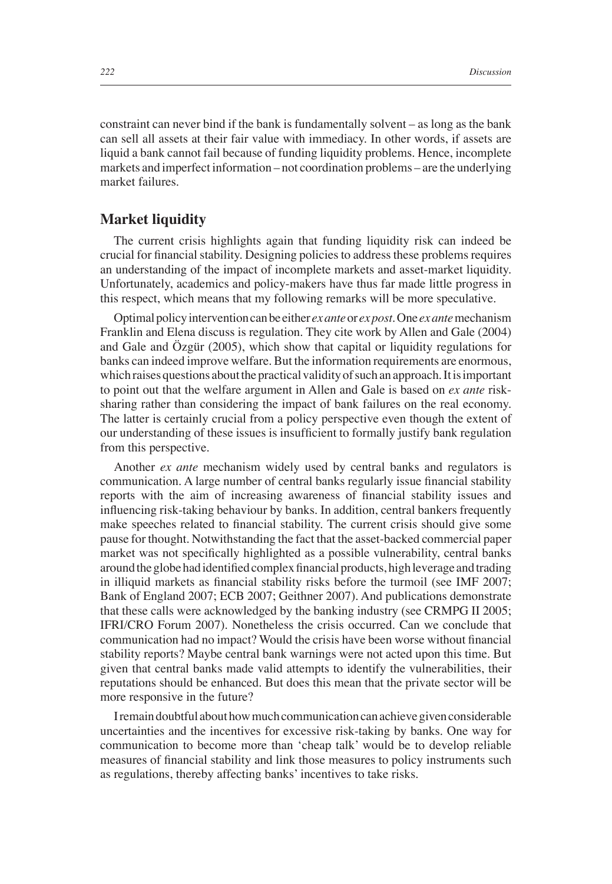constraint can never bind if the bank is fundamentally solvent – as long as the bank can sell all assets at their fair value with immediacy. In other words, if assets are liquid a bank cannot fail because of funding liquidity problems. Hence, incomplete markets and imperfect information – not coordination problems – are the underlying market failures.

## **Market liquidity**

The current crisis highlights again that funding liquidity risk can indeed be crucial for financial stability. Designing policies to address these problems requires an understanding of the impact of incomplete markets and asset-market liquidity. Unfortunately, academics and policy-makers have thus far made little progress in this respect, which means that my following remarks will be more speculative.

Optimal policy intervention can be either *ex ante* or *ex post*. One *ex ante* mechanism Franklin and Elena discuss is regulation. They cite work by Allen and Gale (2004) and Gale and Özgür (2005), which show that capital or liquidity regulations for banks can indeed improve welfare. But the information requirements are enormous, which raises questions about the practical validity of such an approach. It is important to point out that the welfare argument in Allen and Gale is based on *ex ante* risksharing rather than considering the impact of bank failures on the real economy. The latter is certainly crucial from a policy perspective even though the extent of our understanding of these issues is insufficient to formally justify bank regulation from this perspective.

Another *ex ante* mechanism widely used by central banks and regulators is communication. A large number of central banks regularly issue financial stability reports with the aim of increasing awareness of financial stability issues and influencing risk-taking behaviour by banks. In addition, central bankers frequently make speeches related to financial stability. The current crisis should give some pause for thought. Notwithstanding the fact that the asset-backed commercial paper market was not specifically highlighted as a possible vulnerability, central banks around the globe had identified complex financial products, high leverage and trading in illiquid markets as financial stability risks before the turmoil (see IMF 2007; Bank of England 2007; ECB 2007; Geithner 2007). And publications demonstrate that these calls were acknowledged by the banking industry (see CRMPG II 2005; IFRI/CRO Forum 2007). Nonetheless the crisis occurred. Can we conclude that communication had no impact? Would the crisis have been worse without financial stability reports? Maybe central bank warnings were not acted upon this time. But given that central banks made valid attempts to identify the vulnerabilities, their reputations should be enhanced. But does this mean that the private sector will be more responsive in the future?

I remain doubtful about how much communication can achieve given considerable uncertainties and the incentives for excessive risk-taking by banks. One way for communication to become more than 'cheap talk' would be to develop reliable measures of financial stability and link those measures to policy instruments such as regulations, thereby affecting banks' incentives to take risks.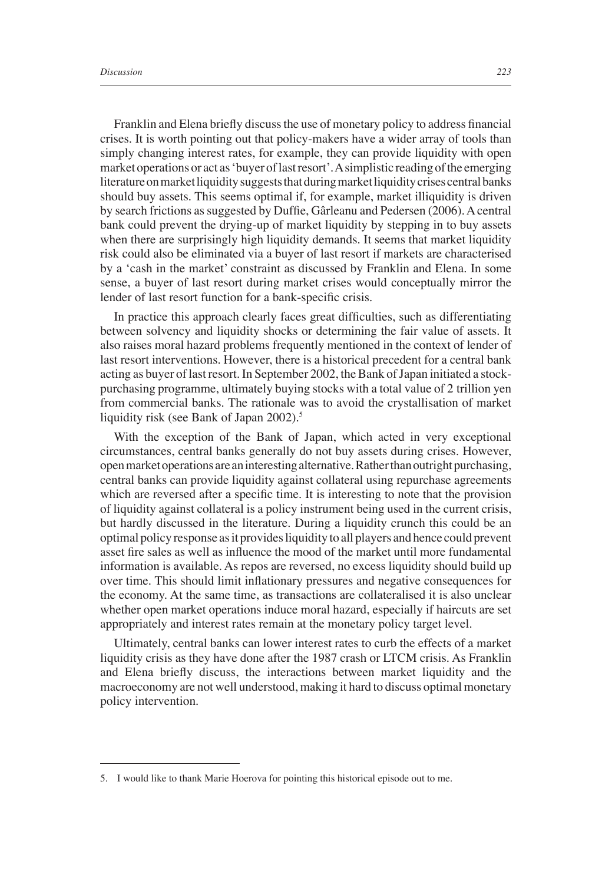Franklin and Elena briefly discuss the use of monetary policy to address financial crises. It is worth pointing out that policy-makers have a wider array of tools than simply changing interest rates, for example, they can provide liquidity with open market operations or act as 'buyer of last resort'. A simplistic reading of the emerging literature on market liquidity suggests that during market liquidity crises central banks should buy assets. This seems optimal if, for example, market illiquidity is driven by search frictions as suggested by Duffie, Gârleanu and Pedersen (2006). A central bank could prevent the drying-up of market liquidity by stepping in to buy assets when there are surprisingly high liquidity demands. It seems that market liquidity risk could also be eliminated via a buyer of last resort if markets are characterised by a 'cash in the market' constraint as discussed by Franklin and Elena. In some sense, a buyer of last resort during market crises would conceptually mirror the lender of last resort function for a bank-specific crisis.

In practice this approach clearly faces great difficulties, such as differentiating between solvency and liquidity shocks or determining the fair value of assets. It also raises moral hazard problems frequently mentioned in the context of lender of last resort interventions. However, there is a historical precedent for a central bank acting as buyer of last resort. In September 2002, the Bank of Japan initiated a stockpurchasing programme, ultimately buying stocks with a total value of 2 trillion yen from commercial banks. The rationale was to avoid the crystallisation of market liquidity risk (see Bank of Japan 2002).<sup>5</sup>

With the exception of the Bank of Japan, which acted in very exceptional circumstances, central banks generally do not buy assets during crises. However, open market operations are an interesting alternative. Rather than outright purchasing, central banks can provide liquidity against collateral using repurchase agreements which are reversed after a specific time. It is interesting to note that the provision of liquidity against collateral is a policy instrument being used in the current crisis, but hardly discussed in the literature. During a liquidity crunch this could be an optimal policy response as it provides liquidity to all players and hence could prevent asset fire sales as well as influence the mood of the market until more fundamental information is available. As repos are reversed, no excess liquidity should build up over time. This should limit inflationary pressures and negative consequences for the economy. At the same time, as transactions are collateralised it is also unclear whether open market operations induce moral hazard, especially if haircuts are set appropriately and interest rates remain at the monetary policy target level.

Ultimately, central banks can lower interest rates to curb the effects of a market liquidity crisis as they have done after the 1987 crash or LTCM crisis. As Franklin and Elena briefly discuss, the interactions between market liquidity and the macroeconomy are not well understood, making it hard to discuss optimal monetary policy intervention.

<sup>5.</sup> I would like to thank Marie Hoerova for pointing this historical episode out to me.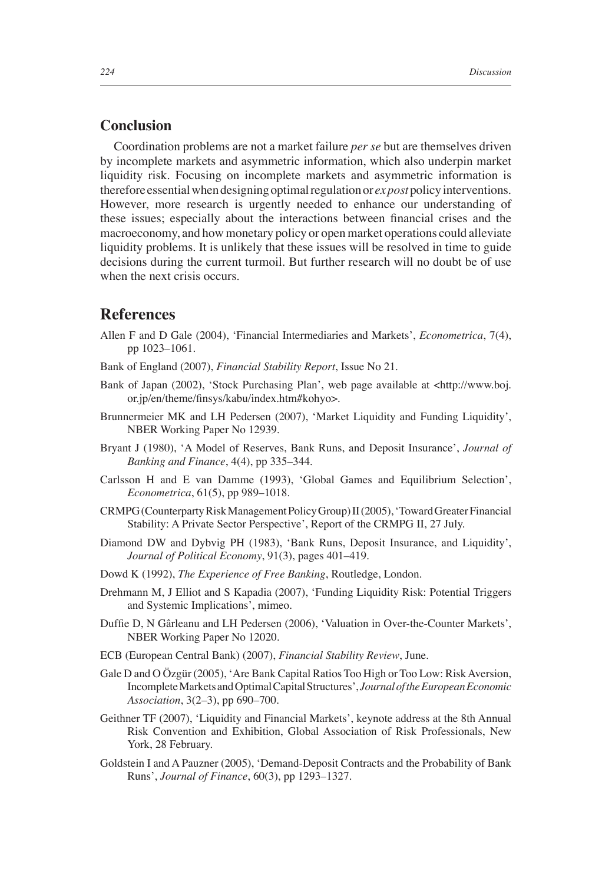#### **Conclusion**

Coordination problems are not a market failure *per se* but are themselves driven by incomplete markets and asymmetric information, which also underpin market liquidity risk. Focusing on incomplete markets and asymmetric information is therefore essential when designing optimal regulation or *ex post* policy interventions. However, more research is urgently needed to enhance our understanding of these issues; especially about the interactions between financial crises and the macroeconomy, and how monetary policy or open market operations could alleviate liquidity problems. It is unlikely that these issues will be resolved in time to guide decisions during the current turmoil. But further research will no doubt be of use when the next crisis occurs.

## **References**

- Allen F and D Gale (2004), 'Financial Intermediaries and Markets', *Econometrica*, 7(4), pp 1023–1061.
- Bank of England (2007), *Financial Stability Report*, Issue No 21.
- Bank of Japan (2002), 'Stock Purchasing Plan', web page available at <http://www.boj. or.jp/en/theme/finsys/kabu/index.htm#kohyo>.
- Brunnermeier MK and LH Pedersen (2007), 'Market Liquidity and Funding Liquidity', NBER Working Paper No 12939.
- Bryant J (1980), 'A Model of Reserves, Bank Runs, and Deposit Insurance', *Journal of Banking and Finance*, 4(4), pp 335–344.
- Carlsson H and E van Damme (1993), 'Global Games and Equilibrium Selection', *Econometrica*, 61(5), pp 989–1018.
- CRMPG (Counterparty Risk Management Policy Group) II (2005), 'Toward Greater Financial Stability: A Private Sector Perspective', Report of the CRMPG II, 27 July.
- Diamond DW and Dybvig PH (1983), 'Bank Runs, Deposit Insurance, and Liquidity', *Journal of Political Economy*, 91(3), pages 401–419.
- Dowd K (1992), *The Experience of Free Banking*, Routledge, London.
- Drehmann M, J Elliot and S Kapadia (2007), 'Funding Liquidity Risk: Potential Triggers and Systemic Implications', mimeo.
- Duffie D, N Gârleanu and LH Pedersen (2006), 'Valuation in Over-the-Counter Markets', NBER Working Paper No 12020.
- ECB (European Central Bank) (2007), *Financial Stability Review*, June.
- Gale D and O Özgür (2005), 'Are Bank Capital Ratios Too High or Too Low: Risk Aversion, Incomplete Markets and Optimal Capital Structures', *Journal of the European Economic Association*, 3(2–3), pp 690–700.
- Geithner TF (2007), 'Liquidity and Financial Markets', keynote address at the 8th Annual Risk Convention and Exhibition, Global Association of Risk Professionals, New York, 28 February.
- Goldstein I and A Pauzner (2005), 'Demand-Deposit Contracts and the Probability of Bank Runs', *Journal of Finance*, 60(3), pp 1293–1327.